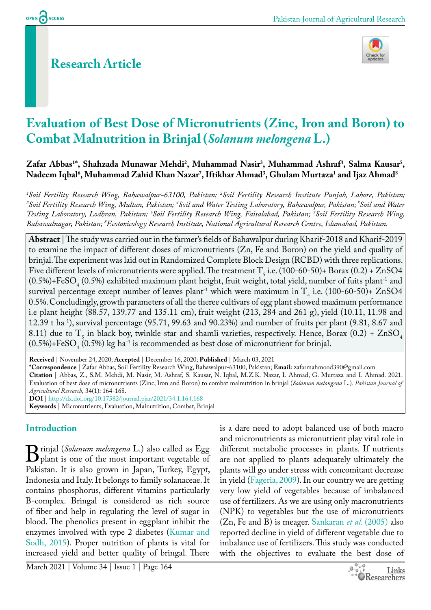OPEN CACCESS

# **Research Article**



# **Evaluation of Best Dose of Micronutrients (Zinc, Iron and Boron) to Combat Malnutrition in Brinjal (***Solanum melongena* **L.)**

Zafar Abbas<sup>1\*</sup>, Shahzada Munawar Mehdi<sup>2</sup>, Muhammad Nasir<sup>3</sup>, Muhammad Ashraf<sup>4</sup>, Salma Kausar<sup>5</sup>, **Nadeem Iqbal6 , Muhammad Zahid Khan Nazar7 , Iftikhar Ahmad3 , Ghulam Murtaza1 and Ijaz Ahmad8**

<sup>1</sup>Soil Fertility Research Wing, Bahawalpur-63100, Pakistan; <sup>2</sup>Soil Fertility Research Institute Punjab, Lahore, Pakistan;<br><sup>3</sup>Soil Fertility Research Wing, Multan, Pakistan: <sup>4</sup>Soil and Water Testing Lahoratory, Rahawalpu Soil Fertility Research Wing, Multan, Pakistan; <sup>4</sup>Soil and Water Testing Laboratory, Bahawalpur, Pakistan; <sup>5</sup>Soil and Water *Testing Laboratory, Lodhran, Pakistan; 6 Soil Fertility Research Wing, Faisalabad, Pakistan; 7 Soil Fertility Research Wing, Bahawalnagar, Pakistan; 8 Ecotoxicology Research Institute, National Agricultural Research Centre, Islamabad, Pakistan.*

**Abstract** | The study was carried out in the farmer's fields of Bahawalpur during Kharif-2018 and Kharif-2019 to examine the impact of different doses of micronutrients (Zn, Fe and Boron) on the yield and quality of brinjal. The experiment was laid out in Randomized Complete Block Design (RCBD) with three replications. Five different levels of micronutrients were applied. The treatment  $T_5$  i.e. (100-60-50)+ Borax (0.2) + ZnSO4  $(0.5\%) + \text{FeSO}_4$   $(0.5\%)$  exhibited maximum plant height, fruit weight, total yield, number of fuits plant<sup>-1</sup> and survival percentage except number of leaves plant<sup>-1</sup> which were maximum in  $T_4$  i.e. (100-60-50)+ ZnSO4 0.5%. Concludingly, growth parameters of all the theree cultivars of egg plant showed maximum performance i.e plant height (88.57, 139.77 and 135.11 cm), fruit weight (213, 284 and 261 g), yield (10.11, 11.98 and 12.39 t ha-1), survival percentage (95.71, 99.63 and 90.23%) and number of fruits per plant (9.81, 8.67 and 8.11) due to  $T_5$  in black boy, twinkle star and shamli varieties, respectively. Hence, Borax (0.2) + ZnSO<sub>4</sub>  $(0.5\%) + \text{FeSO}_4$   $(0.5\%)$  kg ha $^{-1}$  is recommended as best dose of micronutrient for brinjal.

**Received** | November 24, 2020; **Accepted** | December 16, 2020; **Published** | March 03, 2021 **\*Correspondence** | Zafar Abbas, Soil Fertility Research Wing, Bahawalpur-63100, Pakistan; **Email:** zafarmahmood390@gmail.com **Citation** | Abbas, Z., S.M. Mehdi, M. Nasir, M. Ashraf, S. Kausar, N. Iqbal, M.Z.K. Nazar, I. Ahmad, G. Murtaza and I. Ahmad. 2021. Evaluation of best dose of micronutrients (Zinc, Iron and Boron) to combat malnutrition in brinjal (*Solanum melongena* L.). *Pakistan Journal of Agricultural Research,* 34(1): 164-168. **DOI** | <http://dx.doi.org/10.17582/journal.pjar/2021/34.1.164.168>

**Keywords** | Micronutrients, Evaluation, Malnutrition, Combat, Brinjal

## **Introduction**

**B** rinjal (*Solanum melongena* L.) also called as Egg<br>plant is one of the most important vegetable of<br>Pakistan. It is also grown in Iapan. Turkey. Foynt. plant is one of the most important vegetable of Pakistan. It is also grown in Japan, Turkey, Egypt, Indonesia and Italy. It belongs to family solanaceae. It contains phosphorus, different vitamins particularly B-complex. Bringal is considered as rich source of fiber and help in regulating the level of sugar in blood. The phenolics present in eggplant inhibit the enzymes involved with type 2 diabetes [\(Kumar and](#page-3-0)  [Sodh, 2015](#page-3-0)). Proper nutrition of plants is vital for increased yield and better quality of bringal. There

is a dare need to adopt balanced use of both macro and micronutrients as micronutrient play vital role in different metabolic processes in plants. If nutrients are not applied to plants adequately ultimately the plants will go under stress with concomitant decrease in yield ([Fageria, 2009\)](#page-3-1). In our country we are getting very low yield of vegetables because of imbalanced use of fertilizers. As we are using only macronutrients (NPK) to vegetables but the use of micronutrients (Zn, Fe and B) is meager. [Sankaran](#page-4-0) *et al*. (2005) also reported decline in yield of different vegetable due to imbalance use of fertilizers. This study was conducted with the objectives to evaluate the best dose of

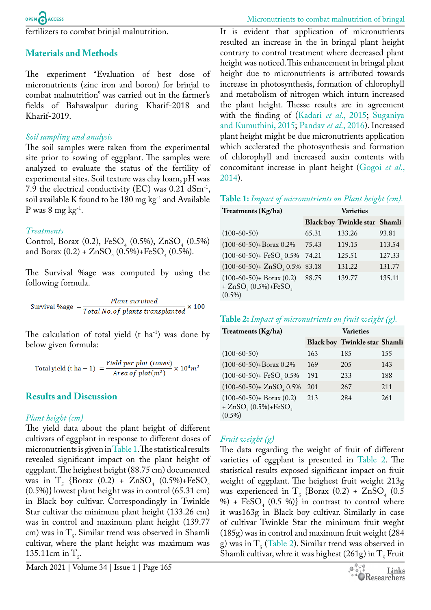fertilizers to combat brinjal malnutrition.

## **Materials and Methods**

The experiment "Evaluation of best dose of micronutrients (zinc iron and boron) for brinjal to combat malnutrition" was carried out in the farmer's fields of Bahawalpur during Kharif-2018 and Kharif-2019.

## *Soil sampling and analysis*

The soil samples were taken from the experimental site prior to sowing of eggplant. The samples were analyzed to evaluate the status of the fertility of experimental sites. Soil texture was clay loam, pH was 7.9 the electrical conductivity (EC) was  $0.21$  dSm<sup>-1</sup>, soil available K found to be 180 mg  $kg^{-1}$  and Available P was  $8 \text{ mg kg}^{-1}$ .

#### *Treatments*

Control, Borax (0.2), FeSO<sub>4</sub> (0.5%), ZnSO<sub>4</sub> (0.5%) and Borax  $(0.2)$  +  $ZnSO_4(0.5\%)+FeSO_4(0.5\%)$ .

The Survival %age was computed by using the following formula.

Plant survived Survival %age  $=$   $\frac{1}{Total\ No. of\ plants\ translated}$   $\times$  100

The calculation of total yield  $(t \text{ ha}^{-1})$  was done by below given formula:

Total yield (t ha – 1) = 
$$
\frac{Yield\ per\ plot\ (tones)}{Area\ of\ plot(m^2)} \times 10^4 m^2
$$

#### **Results and Discussion**

#### *Plant height (cm)*

The yield data about the plant height of different cultivars of eggplant in response to different doses of micronutrients is given in [Table 1.](#page-1-0) The statistical results revealed significant impact on the plant height of eggplant. The heighest height (88.75 cm) documented was in  $T_5$  {Borax (0.2) +  $ZnSO_4$  (0.5%)+FeSO<sub>4</sub> (0.5%)} lowest plant height was in control (65.31 cm) in Black boy cultivar. Correspondingly in Twinkle Star cultivar the minimum plant height (133.26 cm) was in control and maximum plant height (139.77 cm) was in  $T<sub>5</sub>$ . Similar trend was observed in Shamli cultivar, where the plant height was maximum was 135.11cm in  $T_5$ .

It is evident that application of micronutrients resulted an increase in the in bringal plant height contrary to control treatment where decreased plant height was noticed. This enhancement in bringal plant height due to micronutrients is attributed towards increase in photosynthesis, formation of chlorophyll and metabolism of nitrogen which inturn increased the plant height. Thesse results are in agreement with the finding of ([Kadari](#page-3-2) *et al*., 2015; [Suganiya](#page-4-1)  [and Kumuthini, 2015;](#page-4-1) [Pandav](#page-4-2) *et al*., 2016). Increased plant height might be due micronutrients application which acclerated the photosynthesis and formation of chlorophyll and increased auxin contents with concomitant increase in plant height ([Gogoi](#page-3-3) *et al*., [2014](#page-3-3)).

<span id="page-1-0"></span>**Table 1:** *Impact of micronutrients on Plant height (cm).*

| Treatments (Kg/ha)                                                           | <b>Varieties</b> |                                      |        |
|------------------------------------------------------------------------------|------------------|--------------------------------------|--------|
|                                                                              |                  | <b>Black boy Twinkle star Shamli</b> |        |
| $(100-60-50)$                                                                | 65.31            | 133.26                               | 93.81  |
| $(100-60-50)+\text{Borax }0.2\%$                                             | 75.43            | 119.15                               | 113.54 |
| $(100-60-50)$ + FeSO <sub>4</sub> 0.5%                                       | 74.21            | 125.51                               | 127.33 |
| $(100-60-50) + ZnSO4 0.5%$                                                   | 83.18            | 131.22                               | 131.77 |
| $(100-60-50)$ + Borax $(0.2)$<br>+ $ZnSO_{4}(0.5\%) + FeSO_{4}$<br>$(0.5\%)$ | 88.75            | 139.77                               | 135.11 |

#### <span id="page-1-1"></span>**Table 2:** *Impact of micronutrients on fruit weight (g).*

| Treatments (Kg/ha)                                                           | Varieties |                                      |     |
|------------------------------------------------------------------------------|-----------|--------------------------------------|-----|
|                                                                              |           | <b>Black boy Twinkle star Shamli</b> |     |
| $(100-60-50)$                                                                | 163       | 185                                  | 155 |
| $(100-60-50)+\text{Borax }0.2\%$                                             | 169       | 205                                  | 143 |
| $(100-60-50)$ + FeSO <sub>4</sub> 0.5%                                       | 191       | 233                                  | 188 |
| $(100-60-50) + ZnSO4 0.5%$                                                   | 201       | 267                                  | 211 |
| $(100-60-50)$ + Borax $(0.2)$<br>+ $ZnSO_{4}(0.5\%) + FeSO_{4}$<br>$(0.5\%)$ | 213       | 284                                  | 261 |

# *Fruit weight (g)*

The data regarding the weight of fruit of different varieties of eggplant is presented in [Table 2.](#page-1-1) The statistical results exposed significant impact on fruit weight of eggplant. The heighest fruit weight 213g was experienced in  $T_5$  {Borax  $(0.2) + ZnSO_4$   $(0.5)$ %) +  $FESO<sub>4</sub>$  (0.5 %)} in contrast to control where it was163g in Black boy cultivar. Similarly in case of cultivar Twinkle Star the minimum fruit weght (185g) was in control and maximum fruit weight (284 g) was in  $T_5$  ([Table 2\)](#page-1-1). Similar trend was observed in Shamli cultivar, whre it was highest (261g) in  $T_5$  Fruit

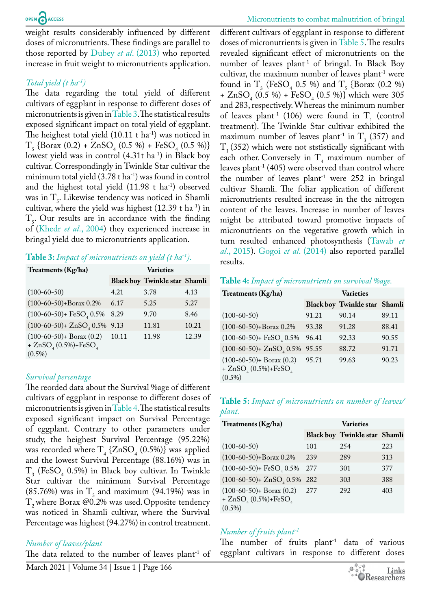weight results considerably influenced by different doses of micronutrients. These findings are parallel to those reported by Dubey *et al*[. \(2013\)](#page-3-4) who reported increase in fruit weight to micronutrients application.

## *Total yield (t ha-1)*

The data regarding the total yield of different cultivars of eggplant in response to different doses of micronutrients is given in [Table 3.](#page-2-0) The statistical results exposed significant impact on total yield of eggplant. The heighest total yield  $(10.11 \text{ t} \text{ ha}^{-1})$  was noticed in  $T_5$ {Borax (0.2) + ZnSO<sub>4</sub> (0.5 %) + FeSO<sub>4</sub> (0.5 %)} lowest yield was in control  $(4.31t \text{ ha}^{-1})$  in Black boy cultivar. Correspondingly in Twinkle Star cultivar the minimum total yield  $(3.78 \text{ t} \text{ ha}^{-1})$  was found in control and the highest total yield  $(11.98 \text{ t} \text{ ha}^{-1})$  observed was in  $T<sub>5</sub>$ . Likewise tendency was noticed in Shamli cultivar, where the yield was highest  $(12.39 \text{ t} \text{ ha}^{-1})$  in  $T<sub>5</sub>$ . Our results are in accordance with the finding of (Khedr *et al*[., 2004\)](#page-3-5) they experienced increase in bringal yield due to micronutrients application.

## <span id="page-2-0"></span>**Table 3:** *Impact of micronutrients on yield (t ha-1).*

| Treatments (Kg/ha)                                                           | <b>Varieties</b> |                                      |       |
|------------------------------------------------------------------------------|------------------|--------------------------------------|-------|
|                                                                              |                  | <b>Black boy Twinkle star Shamli</b> |       |
| $(100-60-50)$                                                                | 4.21             | 3.78                                 | 4.13  |
| $(100-60-50)+\text{Borax }0.2\%$                                             | 6.17             | 5.25                                 | 5.27  |
| $(100-60-50)$ + FeSO <sub>4</sub> 0.5%                                       | 8.29             | 9.70                                 | 8.46  |
| $(100-60-50) + ZnSO, 0.5\%$                                                  | 9.13             | 11.81                                | 10.21 |
| $(100-60-50)$ + Borax $(0.2)$<br>+ $ZnSO_{4}(0.5\%) + FeSO_{4}$<br>$(0.5\%)$ | 10.11            | 11.98                                | 12.39 |

#### *Survival percentage*

The reorded data about the Survival %age of different cultivars of eggplant in response to different doses of micronutrients is given in [Table 4.](#page-2-1) The statistical results exposed significant impact on Survival Percentage of eggplant. Contrary to other parameters under study, the heighest Survival Percentage (95.22%) was recorded where  $T_4$ { $ZnSO_4$  (0.5%)} was applied and the lowest Survival Percentage (88.16%) was in  $T_3$  (FeSO<sub>4</sub> 0.5%) in Black boy cultivar. In Twinkle Star cultivar the minimum Survival Percentage  $(85.76%)$  was in  $T_3$  and maximum (94.19%) was in  $T_2$  where Borax @0.2% was used. Opposite tendency was noticed in Shamli cultivar, where the Survival Percentage was highest (94.27%) in control treatment.

## *Number of leaves/plant*

The data related to the number of leaves plant<sup>-1</sup> of

different cultivars of eggplant in response to different doses of micronutrients is given in [Table 5](#page-2-2). The results revealed significant effect of micronutrients on the number of leaves plant<sup>-1</sup> of bringal. In Black Boy cultivar, the maximum number of leaves plant<sup>-1</sup> were found in  $T_3$  (FeSO<sub>4</sub> 0.5 %) and  $T_5$  {Borax (0.2 %) +  $ZnSO_4$  (0.5 %) + FeSO<sub>4</sub> (0.5 %)} which were 305 and 283, respectively. Whereas the minimum number of leaves plant<sup>-1</sup> (106) were found in  $T_1$  (control treatment). The Twinkle Star cultivar exhibited the maximum number of leaves plant<sup>-1</sup> in  $T_3$  (357) and  $T<sub>1</sub>$  (352) which were not ststistically significant with each other. Conversely in  $T_4$  maximum number of leaves plant<sup>-1</sup> (405) were observed than control where the number of leaves plant<sup>-1</sup> were  $252$  in bringal cultivar Shamli. The foliar application of different micronutrients resulted increase in the the nitrogen content of the leaves. Increase in number of leaves might be attributed toward promotive impacts of micronutrients on the vegetative growth which in turn resulted enhanced photosynthesis ([Tawab](#page-4-3) *et al*[., 2015](#page-4-3)). Gogoi *et al*[. \(2014\)](#page-3-3) also reported parallel results.

#### <span id="page-2-1"></span>**Table 4:** *Impact of micronutrients on survival %age.*

| Treatments (Kg/ha)                                                           |       |                                      |       |
|------------------------------------------------------------------------------|-------|--------------------------------------|-------|
|                                                                              |       | <b>Black boy Twinkle star Shamli</b> |       |
| $(100-60-50)$                                                                | 91.21 | 90.14                                | 89.11 |
| $(100-60-50)+\text{Borax }0.2\%$                                             | 93.38 | 91.28                                | 88.41 |
| $(100-60-50)$ + FeSO <sub>4</sub> 0.5%                                       | 96.41 | 92.33                                | 90.55 |
| $(100-60-50) + ZnSO4 0.5%$                                                   | 95.55 | 88.72                                | 91.71 |
| $(100-60-50)$ + Borax $(0.2)$<br>+ $ZnSO_{4}(0.5\%) + FeSO_{4}$<br>$(0.5\%)$ | 95.71 | 99.63                                | 90.23 |

#### <span id="page-2-2"></span>**Table 5:** *Impact of micronutrients on number of leaves/ plant.*

| Treatments (Kg/ha)                                                     | <b>Varieties</b> |                               |     |
|------------------------------------------------------------------------|------------------|-------------------------------|-----|
|                                                                        |                  | Black boy Twinkle star Shamli |     |
| $(100-60-50)$                                                          | 101              | 254                           | 223 |
| $(100-60-50)+\text{Borax }0.2\%$                                       | 239              | 289                           | 313 |
| $(100-60-50)$ + FeSO <sub>4</sub> 0.5%                                 | 277              | 301                           | 377 |
| $(100-60-50) + ZnSO, 0.5\%$                                            | 282              | 303                           | 388 |
| $(100-60-50)$ + Borax $(0.2)$<br>+ $ZnSO_4(0.5\%)+FeSO_4$<br>$(0.5\%)$ | 2.77             | 292                           | 403 |

# *Number of fruits plant-1*

The number of fruits plant<sup>-1</sup> data of various eggplant cultivars in response to different doses

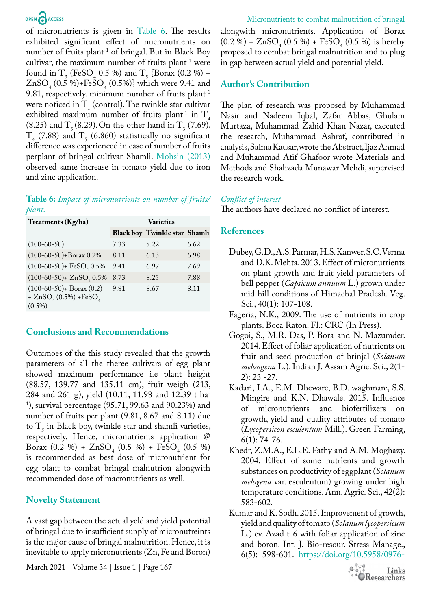of micronutrients is given in [Table 6](#page-3-6). The results exhibited significant effect of micronutrients on number of fruits plant<sup>-1</sup> of bringal. But in Black Boy cultivar, the maximum number of fruits plant<sup>-1</sup> were found in  $T_3$  (FeSO<sub>4</sub> 0.5 %) and  $T_5$  {Borax (0.2 %) +  $ZnSO_4$  (0.5 %)+FeSO<sub>4</sub> (0.5%)} which were 9.41 and 9.81, respectively. minimum number of fruits plant-1 were noticed in  $T_1$  (control). The twinkle star cultivar exhibited maximum number of fruits plant<sup>-1</sup> in  $T<sub>4</sub>$  $(8.25)$  and  $T_5 (8.29)$ . On the other hand in  $T_3 (7.69)$ ,  $T_{4}$  (7.88) and  $T_{5}$  (6.860) statistically no significant difference was experienced in case of number of fruits perplant of bringal cultivar Shamli. [Mohsin \(2013\)](#page-4-4) observed same increase in tomato yield due to iron and zinc application.

#### <span id="page-3-6"></span>**Table 6:** *Impact of micronutrients on number of fruits/ plant.*

| Treatments (Kg/ha)                                                    | <b>Varieties</b> |                                      |      |
|-----------------------------------------------------------------------|------------------|--------------------------------------|------|
|                                                                       |                  | <b>Black boy Twinkle star Shamli</b> |      |
| $(100-60-50)$                                                         | 7.33             | 5.22                                 | 6.62 |
| $(100-60-50)+\text{Borax }0.2\%$                                      | 8.11             | 6.13                                 | 6.98 |
| $(100-60-50)$ + FeSO <sub>4</sub> 0.5%                                | 9.41             | 6.97                                 | 7.69 |
| $(100-60-50) + ZnSO4 0.5%$                                            | 8.73             | 8.25                                 | 7.88 |
| $(100-60-50)$ + Borax $(0.2)$<br>+ $ZnSO4(0.5%) + FeSO4$<br>$(0.5\%)$ | 9.81             | 8.67                                 | 8.11 |

# **Conclusions and Recommendations**

Outcmoes of the this study revealed that the growth parameters of all the theree cultivars of egg plant showed maximum performance i.e plant height (88.57, 139.77 and 135.11 cm), fruit weigh (213, 284 and 261 g), yield (10.11, 11.98 and 12.39 t ha-1 ), survival percentage (95.71, 99.63 and 90.23%) and number of fruits per plant (9.81, 8.67 and 8.11) due to  $T<sub>5</sub>$  in Black boy, twinkle star and shamli varieties, respectively. Hence, micronutrients application @ Borax  $(0.2 \space \% )$  +  $ZnSO_4$   $(0.5 \space \% )$  + FeSO<sub>4</sub>  $(0.5 \space \% )$ is recommended as best dose of micronutrient for egg plant to combat bringal malnutrion alongwith recommended dose of macronutrients as well.

# **Novelty Statement**

A vast gap between the actual yeld and yield potential of bringal due to insufficient supply of micronutreints is the major cause of bringal malnutrition. Hence, it is inevitable to apply micronutrients (Zn, Fe and Boron) alongwith micronutrients. Application of Borax  $(0.2 \%) + ZnSO<sub>4</sub>(0.5 \%) + FeSO<sub>4</sub>(0.5 \%)$  is hereby proposed to combat bringal malnutrition and to plug in gap between actual yield and potential yield.

# **Author's Contribution**

The plan of research was proposed by Muhammad Nasir and Nadeem Iqbal, Zafar Abbas, Ghulam Murtaza, Muhammad Zahid Khan Nazar, executed the research, Muhammad Ashraf, contributed in analysis, Salma Kausar, wrote the Abstract, Ijaz Ahmad and Muhammad Atif Ghafoor wrote Materials and Methods and Shahzada Munawar Mehdi, supervised the research work.

## *Conflict of interest*

The authors have declared no conflict of interest.

# **References**

- <span id="page-3-4"></span>Dubey, G.D., A.S. Parmar, H.S. Kanwer, S.C. Verma and D.K. Mehta. 2013. Effect of micronutrients on plant growth and fruit yield parameters of bell pepper (*Capsicum annuum* L.) grown under mid hill conditions of Himachal Pradesh. Veg. Sci., 40(1): 107-108.
- <span id="page-3-1"></span>Fageria, N.K., 2009. The use of nutrients in crop plants. Boca Raton. Fl.: CRC (In Press).
- <span id="page-3-3"></span>Gogoi, S., M.R. Das, P. Bora and N. Mazumder. 2014. Effect of foliar application of nutrients on fruit and seed production of brinjal (*Solanum melongena* L.). Indian J. Assam Agric. Sci., 2(1- 2): 23 -27.
- <span id="page-3-2"></span>Kadari, I.A., E.M. Dheware, B.D. waghmare, S.S. Mingire and K.N. Dhawale. 2015. Influence of micronutrients and biofertilizers on growth, yield and quality attributes of tomato (*Lycopersicon esculentum* Mill.). Green Farming, 6(1): 74-76.
- <span id="page-3-5"></span>Khedr, Z.M.A., E.L.E. Fathy and A.M. Moghazy. 2004. Effect of some nutrients and growth substances on productivity of eggplant (*Solanum melogena* var. esculentum) growing under high temperature conditions. Ann. Agric. Sci., 42(2): 583-602.
- <span id="page-3-0"></span>Kumar and K. Sodh. 2015. Improvement of growth, yield and quality of tomato (*Solanum lycopersicum* L.) cv. Azad t-6 with foliar application of zinc and boron. Int. J. Bio-resour. Stress Manage., 6(5): 598-601. [https://doi.org/10.5958/0976-](https://doi.org/10.5958/0976-4038.2015.00091.3)